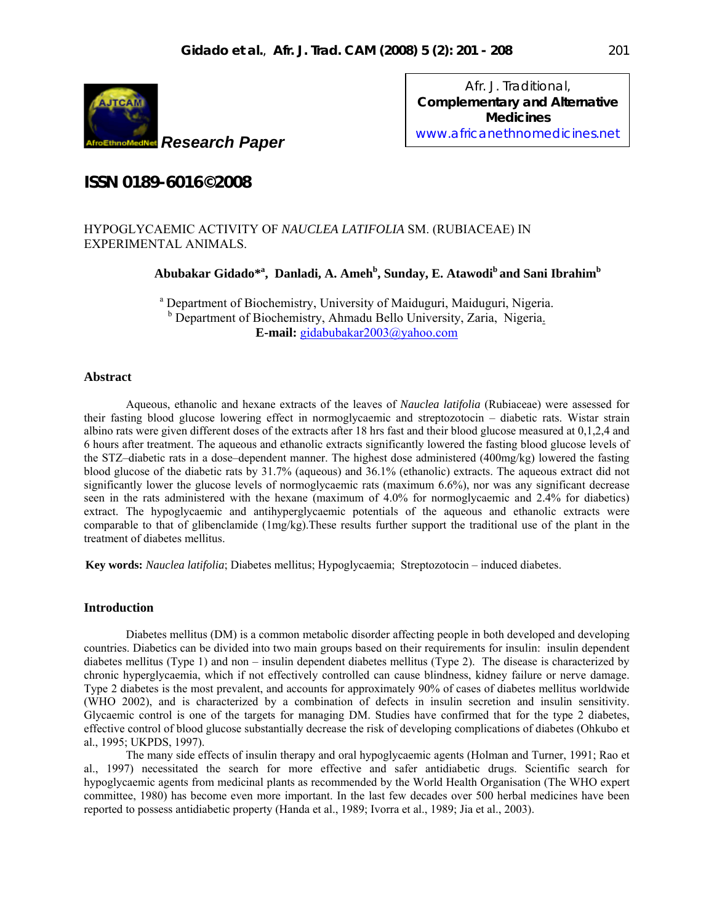

*Research Paper*

*Afr. J. Traditional*, **Complementary and Alternative Medicines**  www.africanethnomedicines.net

# **ISSN 0189-6016©2008**

# HYPOGLYCAEMIC ACTIVITY OF *NAUCLEA LATIFOLIA* SM. (RUBIACEAE) IN EXPERIMENTAL ANIMALS.

**Abubakar Gidado\*<sup>a</sup> , Danladi, A. Ameh<sup>b</sup> , Sunday, E. Atawodib and Sani Ibrahimb**

<sup>a</sup> Department of Biochemistry, University of Maiduguri, Maiduguri, Nigeria. <sup>b</sup> Department of Biochemistry, Ahmadu Bello University, Zaria, Nigeria. **E-mail:** gidabubakar2003@yahoo.com

# **Abstract**

Aqueous, ethanolic and hexane extracts of the leaves of *Nauclea latifolia* (Rubiaceae) were assessed for their fasting blood glucose lowering effect in normoglycaemic and streptozotocin – diabetic rats. Wistar strain albino rats were given different doses of the extracts after 18 hrs fast and their blood glucose measured at 0,1,2,4 and 6 hours after treatment. The aqueous and ethanolic extracts significantly lowered the fasting blood glucose levels of the STZ–diabetic rats in a dose–dependent manner. The highest dose administered (400mg/kg) lowered the fasting blood glucose of the diabetic rats by 31.7% (aqueous) and 36.1% (ethanolic) extracts. The aqueous extract did not significantly lower the glucose levels of normoglycaemic rats (maximum 6.6%), nor was any significant decrease seen in the rats administered with the hexane (maximum of 4.0% for normoglycaemic and 2.4% for diabetics) extract. The hypoglycaemic and antihyperglycaemic potentials of the aqueous and ethanolic extracts were comparable to that of glibenclamide (1mg/kg).These results further support the traditional use of the plant in the treatment of diabetes mellitus.

**Key words:** *Nauclea latifolia*; Diabetes mellitus; Hypoglycaemia; Streptozotocin – induced diabetes.

# **Introduction**

Diabetes mellitus (DM) is a common metabolic disorder affecting people in both developed and developing countries. Diabetics can be divided into two main groups based on their requirements for insulin: insulin dependent diabetes mellitus (Type 1) and non – insulin dependent diabetes mellitus (Type 2). The disease is characterized by chronic hyperglycaemia, which if not effectively controlled can cause blindness, kidney failure or nerve damage. Type 2 diabetes is the most prevalent, and accounts for approximately 90% of cases of diabetes mellitus worldwide (WHO 2002), and is characterized by a combination of defects in insulin secretion and insulin sensitivity. Glycaemic control is one of the targets for managing DM. Studies have confirmed that for the type 2 diabetes, effective control of blood glucose substantially decrease the risk of developing complications of diabetes (Ohkubo et al., 1995; UKPDS, 1997).

The many side effects of insulin therapy and oral hypoglycaemic agents (Holman and Turner, 1991; Rao et al., 1997) necessitated the search for more effective and safer antidiabetic drugs. Scientific search for hypoglycaemic agents from medicinal plants as recommended by the World Health Organisation (The WHO expert committee, 1980) has become even more important. In the last few decades over 500 herbal medicines have been reported to possess antidiabetic property (Handa et al., 1989; Ivorra et al., 1989; Jia et al., 2003).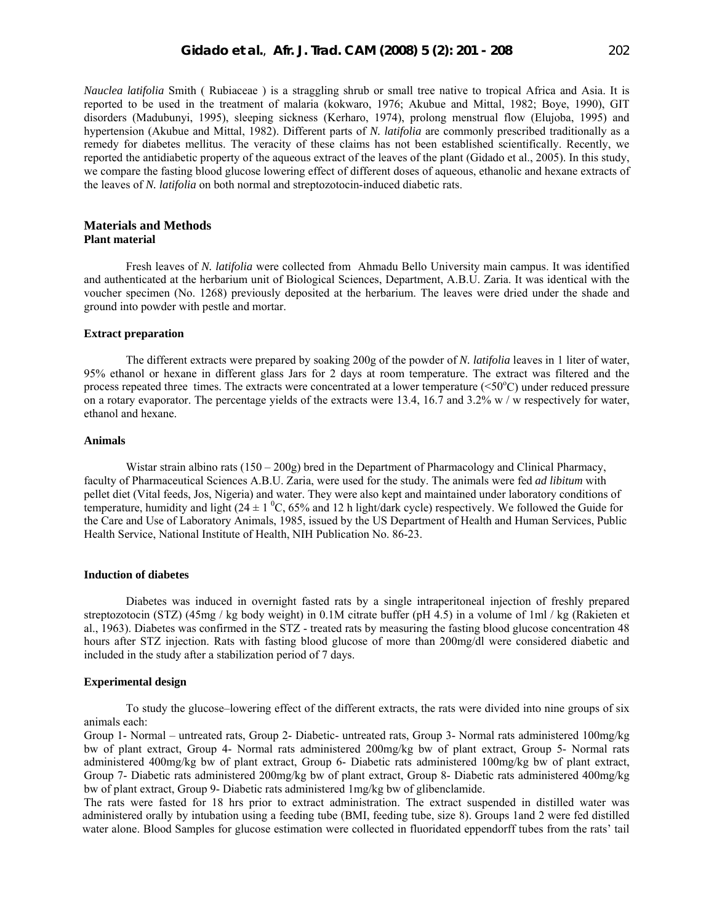*Nauclea latifolia* Smith ( Rubiaceae ) is a straggling shrub or small tree native to tropical Africa and Asia. It is reported to be used in the treatment of malaria (kokwaro, 1976; Akubue and Mittal, 1982; Boye, 1990), GIT disorders (Madubunyi, 1995), sleeping sickness (Kerharo, 1974), prolong menstrual flow (Elujoba, 1995) and hypertension (Akubue and Mittal, 1982). Different parts of *N. latifolia* are commonly prescribed traditionally as a remedy for diabetes mellitus. The veracity of these claims has not been established scientifically. Recently, we reported the antidiabetic property of the aqueous extract of the leaves of the plant (Gidado et al., 2005). In this study, we compare the fasting blood glucose lowering effect of different doses of aqueous, ethanolic and hexane extracts of the leaves of *N. latifolia* on both normal and streptozotocin-induced diabetic rats.

# **Materials and Methods Plant material**

Fresh leaves of *N. latifolia* were collected from Ahmadu Bello University main campus. It was identified and authenticated at the herbarium unit of Biological Sciences, Department, A.B.U. Zaria. It was identical with the voucher specimen (No. 1268) previously deposited at the herbarium. The leaves were dried under the shade and ground into powder with pestle and mortar.

# **Extract preparation**

The different extracts were prepared by soaking 200g of the powder of *N. latifolia* leaves in 1 liter of water, 95% ethanol or hexane in different glass Jars for 2 days at room temperature. The extract was filtered and the process repeated three times. The extracts were concentrated at a lower temperature (<50°C) under reduced pressure on a rotary evaporator. The percentage yields of the extracts were 13.4, 16.7 and 3.2% w / w respectively for water, ethanol and hexane.

# **Animals**

Wistar strain albino rats (150 – 200g) bred in the Department of Pharmacology and Clinical Pharmacy, faculty of Pharmaceutical Sciences A.B.U. Zaria, were used for the study. The animals were fed *ad libitum* with pellet diet (Vital feeds, Jos, Nigeria) and water. They were also kept and maintained under laboratory conditions of temperature, humidity and light  $(24 \pm 1 \degree C, 65\%$  and 12 h light/dark cycle) respectively. We followed the Guide for the Care and Use of Laboratory Animals, 1985, issued by the US Department of Health and Human Services, Public Health Service, National Institute of Health, NIH Publication No. 86-23.

#### **Induction of diabetes**

Diabetes was induced in overnight fasted rats by a single intraperitoneal injection of freshly prepared streptozotocin (STZ) (45mg / kg body weight) in 0.1M citrate buffer (pH 4.5) in a volume of 1ml / kg (Rakieten et al., 1963). Diabetes was confirmed in the STZ - treated rats by measuring the fasting blood glucose concentration 48 hours after STZ injection. Rats with fasting blood glucose of more than 200mg/dl were considered diabetic and included in the study after a stabilization period of 7 days.

#### **Experimental design**

To study the glucose–lowering effect of the different extracts, the rats were divided into nine groups of six animals each:

Group 1- Normal – untreated rats, Group 2- Diabetic- untreated rats, Group 3- Normal rats administered 100mg/kg bw of plant extract, Group 4- Normal rats administered 200mg/kg bw of plant extract, Group 5- Normal rats administered 400mg/kg bw of plant extract, Group 6- Diabetic rats administered 100mg/kg bw of plant extract, Group 7- Diabetic rats administered 200mg/kg bw of plant extract, Group 8- Diabetic rats administered 400mg/kg bw of plant extract, Group 9- Diabetic rats administered 1mg/kg bw of glibenclamide.

The rats were fasted for 18 hrs prior to extract administration. The extract suspended in distilled water was administered orally by intubation using a feeding tube (BMI, feeding tube, size 8). Groups 1and 2 were fed distilled water alone. Blood Samples for glucose estimation were collected in fluoridated eppendorff tubes from the rats' tail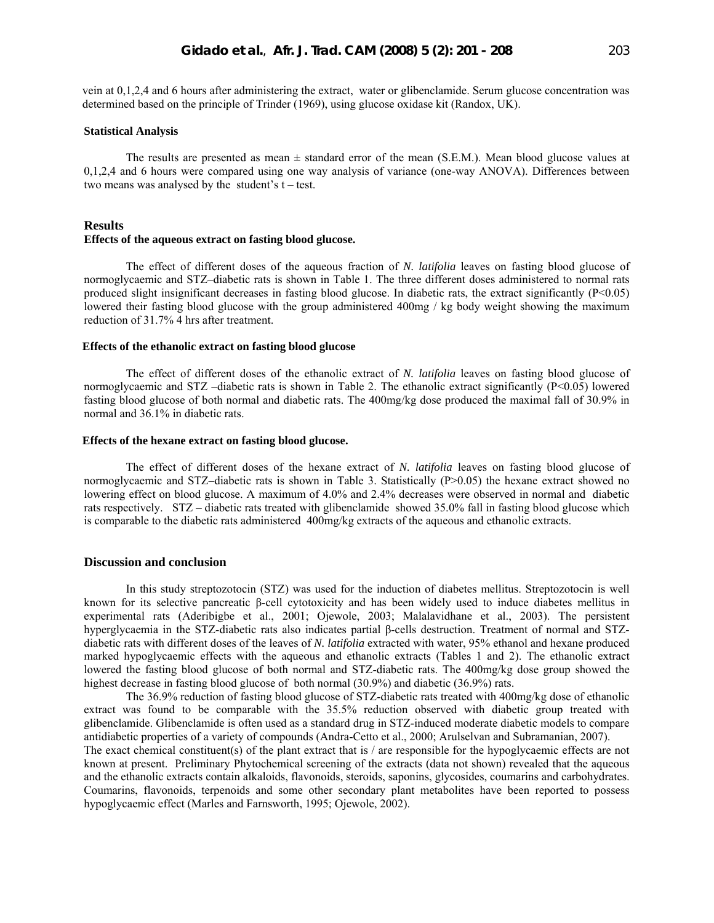vein at 0,1,2,4 and 6 hours after administering the extract, water or glibenclamide. Serum glucose concentration was determined based on the principle of Trinder (1969), using glucose oxidase kit (Randox, UK).

#### **Statistical Analysis**

The results are presented as mean  $\pm$  standard error of the mean (S.E.M.). Mean blood glucose values at 0,1,2,4 and 6 hours were compared using one way analysis of variance (one-way ANOVA). Differences between two means was analysed by the student's  $t - test$ .

## **Results**

#### **Effects of the aqueous extract on fasting blood glucose.**

The effect of different doses of the aqueous fraction of *N. latifolia* leaves on fasting blood glucose of normoglycaemic and STZ–diabetic rats is shown in Table 1. The three different doses administered to normal rats produced slight insignificant decreases in fasting blood glucose. In diabetic rats, the extract significantly  $(P<0.05)$ lowered their fasting blood glucose with the group administered 400mg / kg body weight showing the maximum reduction of 31.7% 4 hrs after treatment.

# **Effects of the ethanolic extract on fasting blood glucose**

The effect of different doses of the ethanolic extract of *N. latifolia* leaves on fasting blood glucose of normoglycaemic and STZ –diabetic rats is shown in Table 2. The ethanolic extract significantly (P<0.05) lowered fasting blood glucose of both normal and diabetic rats. The 400mg/kg dose produced the maximal fall of 30.9% in normal and 36.1% in diabetic rats.

# **Effects of the hexane extract on fasting blood glucose.**

The effect of different doses of the hexane extract of *N. latifolia* leaves on fasting blood glucose of normoglycaemic and STZ-diabetic rats is shown in Table 3. Statistically (P>0.05) the hexane extract showed no lowering effect on blood glucose. A maximum of 4.0% and 2.4% decreases were observed in normal and diabetic rats respectively. STZ – diabetic rats treated with glibenclamide showed 35.0% fall in fasting blood glucose which is comparable to the diabetic rats administered 400mg/kg extracts of the aqueous and ethanolic extracts.

#### **Discussion and conclusion**

In this study streptozotocin (STZ) was used for the induction of diabetes mellitus. Streptozotocin is well known for its selective pancreatic β-cell cytotoxicity and has been widely used to induce diabetes mellitus in experimental rats (Aderibigbe et al., 2001; Ojewole, 2003; Malalavidhane et al., 2003). The persistent hyperglycaemia in the STZ-diabetic rats also indicates partial β-cells destruction. Treatment of normal and STZdiabetic rats with different doses of the leaves of *N. latifolia* extracted with water, 95% ethanol and hexane produced marked hypoglycaemic effects with the aqueous and ethanolic extracts (Tables 1 and 2). The ethanolic extract lowered the fasting blood glucose of both normal and STZ-diabetic rats. The 400mg/kg dose group showed the highest decrease in fasting blood glucose of both normal (30.9%) and diabetic (36.9%) rats.

The 36.9% reduction of fasting blood glucose of STZ-diabetic rats treated with 400mg/kg dose of ethanolic extract was found to be comparable with the 35.5% reduction observed with diabetic group treated with glibenclamide. Glibenclamide is often used as a standard drug in STZ-induced moderate diabetic models to compare antidiabetic properties of a variety of compounds (Andra-Cetto et al., 2000; Arulselvan and Subramanian, 2007). The exact chemical constituent(s) of the plant extract that is  $/$  are responsible for the hypoglycaemic effects are not known at present. Preliminary Phytochemical screening of the extracts (data not shown) revealed that the aqueous

and the ethanolic extracts contain alkaloids, flavonoids, steroids, saponins, glycosides, coumarins and carbohydrates. Coumarins, flavonoids, terpenoids and some other secondary plant metabolites have been reported to possess hypoglycaemic effect (Marles and Farnsworth, 1995; Ojewole, 2002).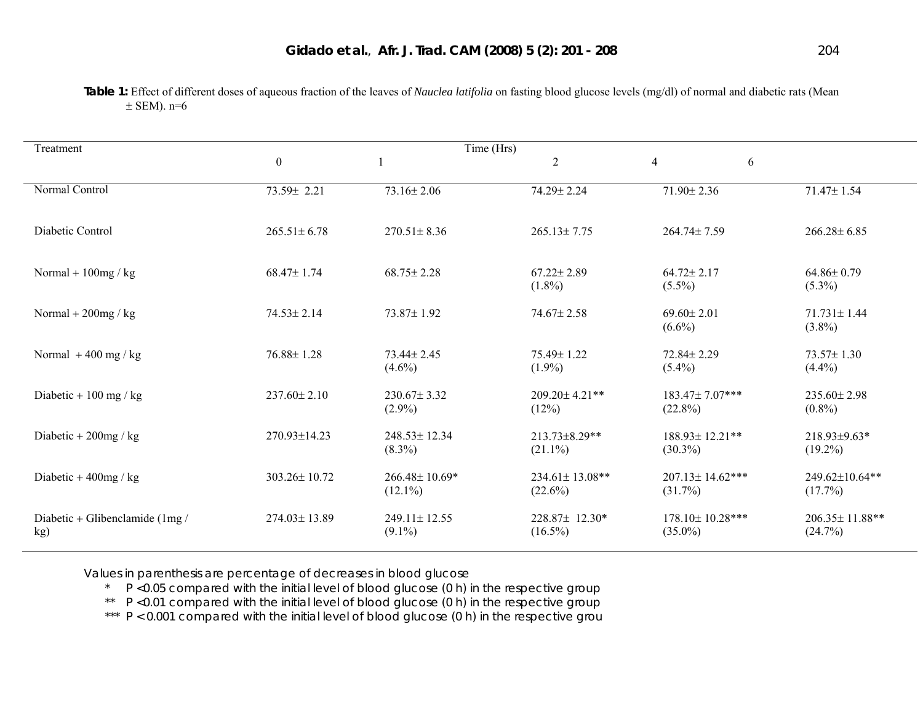| Treatment                               |                   |                                 |                               |                                      |                                  |
|-----------------------------------------|-------------------|---------------------------------|-------------------------------|--------------------------------------|----------------------------------|
|                                         | $\boldsymbol{0}$  |                                 | $\overline{2}$                | $\overline{4}$<br>6                  |                                  |
| Normal Control                          | 73.59± 2.21       | $73.16 \pm 2.06$                | 74.29± 2.24                   | 71.90±2.36                           | 71.47±1.54                       |
| Diabetic Control                        | $265.51 \pm 6.78$ | $270.51 \pm 8.36$               | $265.13 \pm 7.75$             | 264.74± 7.59                         | $266.28 \pm 6.85$                |
| Normal + $100mg/kg$                     | 68.47±1.74        | $68.75 \pm 2.28$                | $67.22 \pm 2.89$<br>$(1.8\%)$ | $64.72 \pm 2.17$<br>$(5.5\%)$        | $64.86 \pm 0.79$<br>$(5.3\%)$    |
| Normal + $200$ mg / kg                  | $74.53 \pm 2.14$  | 73.87±1.92                      | $74.67 \pm 2.58$              | $69.60 \pm 2.01$<br>$(6.6\%)$        | $71.731 \pm 1.44$<br>$(3.8\%)$   |
| Normal $+400$ mg / kg                   | $76.88 \pm 1.28$  | 73.44± 2.45<br>$(4.6\%)$        | 75.49±1.22<br>$(1.9\%)$       | $72.84 \pm 2.29$<br>$(5.4\%)$        | $73.57 \pm 1.30$<br>$(4.4\%)$    |
| Diabetic + 100 mg / kg                  | 237.60±2.10       | $230.67 \pm 3.32$<br>$(2.9\%)$  | 209.20±4.21**<br>(12%)        | 183.47±7.07***<br>$(22.8\%)$         | $235.60 \pm 2.98$<br>$(0.8\%)$   |
| Diabetic + $200$ mg / kg                | 270.93±14.23      | 248.53±12.34<br>$(8.3\%)$       | 213.73±8.29**<br>$(21.1\%)$   | 188.93±12.21**<br>$(30.3\%)$         | 218.93±9.63*<br>$(19.2\%)$       |
| Diabetic + $400$ mg / kg                | 303.26±10.72      | 266.48±10.69*<br>$(12.1\%)$     | 234.61±13.08**<br>$(22.6\%)$  | $207.13 \pm 14.62$ ***<br>$(31.7\%)$ | 249.62±10.64**<br>$(17.7\%)$     |
| Diabetic + Glibenclamide $(1mg/$<br>kg) | 274.03±13.89      | $249.11 \pm 12.55$<br>$(9.1\%)$ | 228.87± 12.30*<br>$(16.5\%)$  | 178.10±10.28***<br>$(35.0\%)$        | $206.35 \pm 11.88$ **<br>(24.7%) |

Table 1: Effect of different doses of aqueous fraction of the leaves of *Nauclea latifolia* on fasting blood glucose levels (mg/dl) of normal and diabetic rats (Mean  $\pm$  SEM). n=6

Values in parenthesis are percentage of decreases in blood glucose<br>  $\begin{array}{c}\n\star \quad P \leq 0.05 \text{ compared with the initial level of blood glucose } (0 \text{ h})\n\end{array}$ 

P <0.05 compared with the initial level of blood glucose (0 h) in the respective group

\*\* P <0.01 compared with the initial level of blood glucose (0 h) in the respective group

\*\*\* P < 0.001 compared with the initial level of blood glucose (0 h) in the respective grou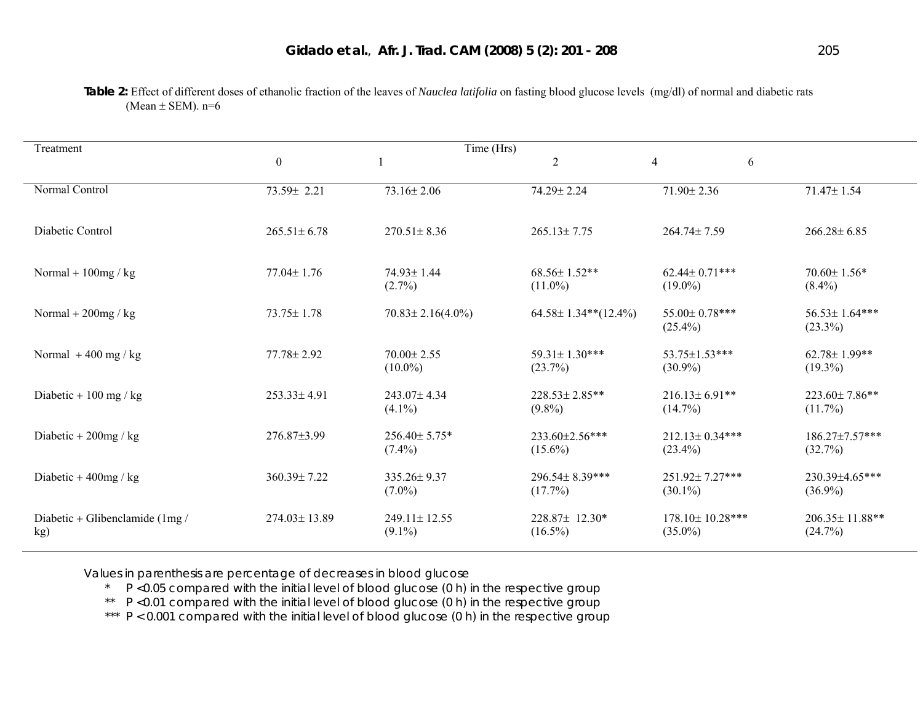Treatment Time (Hrs)  $0 \qquad \qquad 1 \qquad \qquad 2 \qquad \qquad 4 \qquad \qquad 6$ Normal Control 71.47± 1.54 73.59± 2.21 73.16± 2.06 74.29± 2.24 71.90± 2.36 71.47± 1.54 Diabetic Control 265.51± 6.78 270.51± 8.36 265.13± 7.75 264.74± 7.59 266.28± 6.85 Normal + 100mg / kg 77.04± 1.76 74.93± 1.44  $(2.7\%)$ 68.56± 1.52\*\*  $(11.0\%)$  $62.44 \pm 0.71$ \*\*\*  $(19.0\%)$ 70.60± 1.56\*  $(8.4\%)$ Normal + 200mg / kg 73.75± 1.78 70.83± 2.16(4.0%) 64.58± 1.34\*\*(12.4%) 55.00± 0.78\*\*\*  $(25.4\%)$ 56.53± 1.64\*\*\*  $(23.3\%)$ Normal + 400 mg / kg 77.78± 2.92 70.00± 2.55  $(10.0\%)$ 59.31± 1.30\*\*\*  $(23.7\%)$ 53.75±1.53\*\*\* (30.9%) 62.78± 1.99\*\*  $(19.3\%)$ Diabetic + 100 mg / kg 253.33± 4.91 243.07± 4.34  $(4.1\%)$ 228.53± 2.85\*\*  $(9.8\%)$  $216.13 \pm 6.91$ \*\*  $(14.7\%)$ 223.60± 7.86\*\*  $(11.7\%)$ Diabetic + 200mg / kg 276.87±3.99 256.40± 5.75\*  $(7.4\%)$ 233.60±2.56\*\*\*  $(15.6\%)$  $212.13 \pm 0.34$ \*\*\*  $(23.4\%)$ 186.27±7.57\*\*\*  $(32.7\%)$ Diabetic + 400mg / kg 360.39± 7.22 335.26± 9.37  $(7.0\%)$ 296.54± 8.39\*\*\*  $(17.7\%)$ 251.92± 7.27\*\*\* (30.1%) 230.39±4.65\*\*\*  $(36.9\%)$ Diabetic + Glibenclamide (1mg / kg) 274.03± 13.89 249.11± 12.55  $(9.1\%)$ 228.87± 12.30\*  $(16.5\%)$ 178.10± 10.28\*\*\*  $(35.0\%)$ 206.35± 11.88\*\*  $(24.7\%)$ 

**Table 2:** Effect of different doses of ethanolic fraction of the leaves of *Nauclea latifolia* on fasting blood glucose levels (mg/dl) of normal and diabetic rats (Mean  $\pm$  SEM). n=6

Values in parenthesis are percentage of decreases in blood glucose<br> $\uparrow$   $\uparrow$   $\uparrow$   $\uparrow$   $\uparrow$  0.05 compared with the initial level of blood glucose (0.b)

P <0.05 compared with the initial level of blood glucose (0 h) in the respective group

\*\* P <0.01 compared with the initial level of blood glucose (0 h) in the respective group

\*\*\* P < 0.001 compared with the initial level of blood glucose (0 h) in the respective group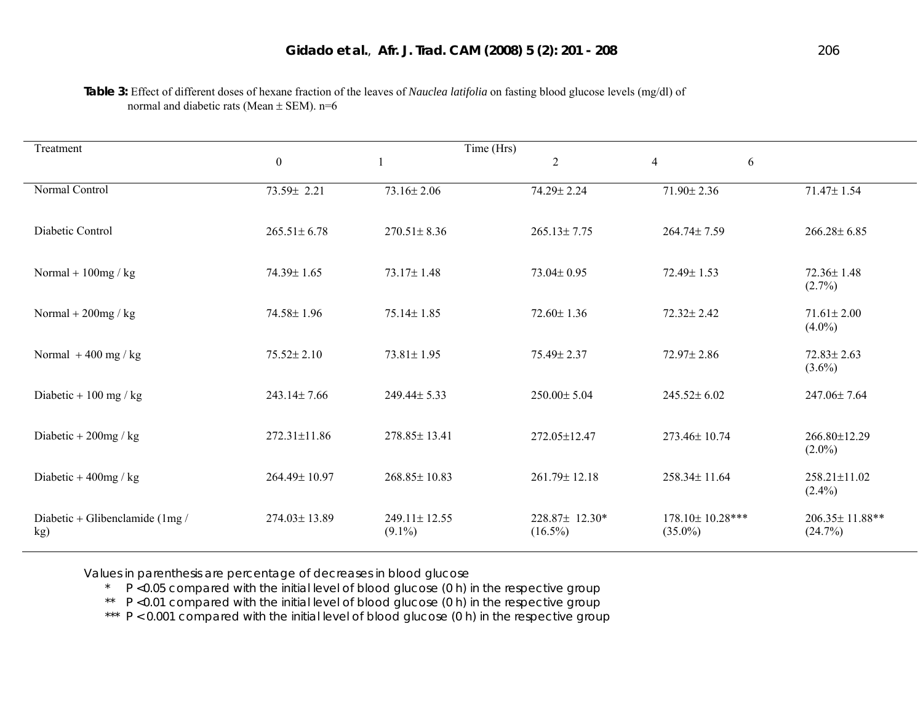| Treatment                               |                   |                           |                                  |                               |                               |
|-----------------------------------------|-------------------|---------------------------|----------------------------------|-------------------------------|-------------------------------|
|                                         | $\boldsymbol{0}$  |                           | $\overline{2}$<br>$\overline{4}$ | 6                             |                               |
| Normal Control                          | 73.59± 2.21       | $73.16 \pm 2.06$          | 74.29± 2.24                      | 71.90±2.36                    | 71.47± 1.54                   |
| Diabetic Control                        | $265.51 \pm 6.78$ | $270.51 \pm 8.36$         | $265.13 \pm 7.75$                | 264.74±7.59                   | $266.28 \pm 6.85$             |
| Normal + $100mg$ / kg                   | 74.39± 1.65       | $73.17 \pm 1.48$          | $73.04 \pm 0.95$                 | 72.49± 1.53                   | 72.36±1.48<br>$(2.7\%)$       |
| Normal + $200$ mg / kg                  | 74.58±1.96        | $75.14 \pm 1.85$          | $72.60 \pm 1.36$                 | $72.32 \pm 2.42$              | $71.61 \pm 2.00$<br>$(4.0\%)$ |
| Normal $+400$ mg / kg                   | $75.52 \pm 2.10$  | $73.81 \pm 1.95$          | 75.49± 2.37                      | $72.97 \pm 2.86$              | $72.83 \pm 2.63$<br>$(3.6\%)$ |
| Diabetic + 100 mg / kg                  | 243.14±7.66       | 249.44± 5.33              | 250.00±5.04                      | $245.52 \pm 6.02$             | 247.06±7.64                   |
| Diabetic + $200$ mg / kg                | 272.31±11.86      | 278.85±13.41              | 272.05±12.47                     | 273.46±10.74                  | 266.80±12.29<br>$(2.0\%)$     |
| Diabetic + $400$ mg / kg                | 264.49±10.97      | $268.85 \pm 10.83$        | 261.79±12.18                     | 258.34±11.64                  | 258.21±11.02<br>$(2.4\%)$     |
| Diabetic + Glibenclamide $(1mg/$<br>kg) | 274.03±13.89      | 249.11±12.55<br>$(9.1\%)$ | 228.87± 12.30*<br>$(16.5\%)$     | 178.10±10.28***<br>$(35.0\%)$ | 206.35±11.88**<br>(24.7%)     |

**Table 3:** Effect of different doses of hexane fraction of the leaves of *Nauclea latifolia* on fasting blood glucose levels (mg/dl) of normal and diabetic rats (Mean  $\pm$  SEM). n=6

Values in parenthesis are percentage of decreases in blood glucose<br>A D < 0.05 compared with the initial level of blood glucose (0.b) is

P <0.05 compared with the initial level of blood glucose (0 h) in the respective group

\*\* P <0.01 compared with the initial level of blood glucose (0 h) in the respective group

\*\*\* P < 0.001 compared with the initial level of blood glucose (0 h) in the respective group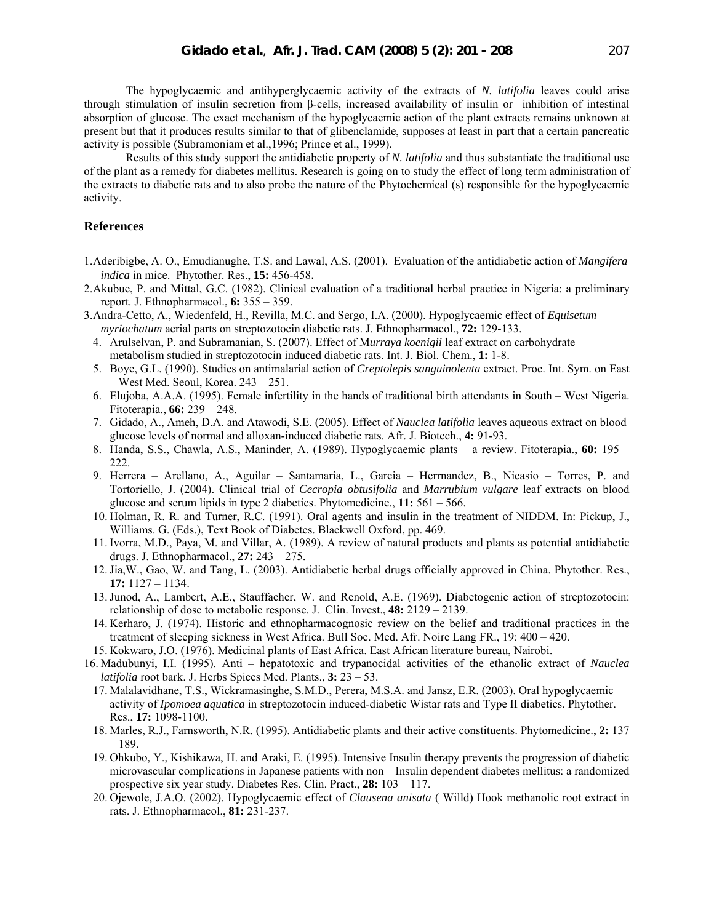The hypoglycaemic and antihyperglycaemic activity of the extracts of *N. latifolia* leaves could arise through stimulation of insulin secretion from β-cells, increased availability of insulin or inhibition of intestinal absorption of glucose. The exact mechanism of the hypoglycaemic action of the plant extracts remains unknown at present but that it produces results similar to that of glibenclamide, supposes at least in part that a certain pancreatic activity is possible (Subramoniam et al.,1996; Prince et al., 1999).

Results of this study support the antidiabetic property of *N. latifolia* and thus substantiate the traditional use of the plant as a remedy for diabetes mellitus. Research is going on to study the effect of long term administration of the extracts to diabetic rats and to also probe the nature of the Phytochemical (s) responsible for the hypoglycaemic activity.

# **References**

- 1.Aderibigbe, A. O., Emudianughe, T.S. and Lawal, A.S. (2001). Evaluation of the antidiabetic action of *Mangifera indica* in mice. Phytother. Res., **15:** 456-458.
- 2.Akubue, P. and Mittal, G.C. (1982). Clinical evaluation of a traditional herbal practice in Nigeria: a preliminary report. J. Ethnopharmacol., **6:** 355 – 359.
- 3.Andra-Cetto, A., Wiedenfeld, H., Revilla, M.C. and Sergo, I.A. (2000). Hypoglycaemic effect of *Equisetum myriochatum* aerial parts on streptozotocin diabetic rats. J. Ethnopharmacol., **72:** 129-133.
	- 4. Arulselvan, P. and Subramanian, S. (2007). Effect of M*urraya koenigii* leaf extract on carbohydrate metabolism studied in streptozotocin induced diabetic rats. Int. J. Biol. Chem., **1:** 1-8.
	- 5. Boye, G.L. (1990). Studies on antimalarial action of *Creptolepis sanguinolenta* extract. Proc. Int. Sym. on East – West Med. Seoul, Korea. 243 – 251.
	- 6. Elujoba, A.A.A. (1995). Female infertility in the hands of traditional birth attendants in South West Nigeria. Fitoterapia., **66:** 239 – 248.
	- 7. Gidado, A., Ameh, D.A. and Atawodi, S.E. (2005). Effect of *Nauclea latifolia* leaves aqueous extract on blood glucose levels of normal and alloxan-induced diabetic rats. Afr. J. Biotech., **4:** 91-93.
	- 8. Handa, S.S., Chawla, A.S., Maninder, A. (1989). Hypoglycaemic plants a review. Fitoterapia., **60:** 195 222.
	- 9. Herrera Arellano, A., Aguilar Santamaria, L., Garcia Herrnandez, B., Nicasio Torres, P. and Tortoriello, J. (2004). Clinical trial of *Cecropia obtusifolia* and *Marrubium vulgare* leaf extracts on blood glucose and serum lipids in type 2 diabetics. Phytomedicine., **11:** 561 – 566.
	- 10. Holman, R. R. and Turner, R.C. (1991). Oral agents and insulin in the treatment of NIDDM. In: Pickup, J., Williams. G. (Eds.), Text Book of Diabetes. Blackwell Oxford, pp. 469.
	- 11. Ivorra, M.D., Paya, M. and Villar, A. (1989). A review of natural products and plants as potential antidiabetic drugs. J. Ethnopharmacol., **27:** 243 – 275.
	- 12.Jia,W., Gao, W. and Tang, L. (2003). Antidiabetic herbal drugs officially approved in China. Phytother. Res., **17:** 1127 – 1134.
	- 13.Junod, A., Lambert, A.E., Stauffacher, W. and Renold, A.E. (1969). Diabetogenic action of streptozotocin: relationship of dose to metabolic response. J. Clin. Invest., **48:** 2129 – 2139.
	- 14. Kerharo, J. (1974). Historic and ethnopharmacognosic review on the belief and traditional practices in the treatment of sleeping sickness in West Africa. Bull Soc. Med. Afr. Noire Lang FR., 19: 400 – 420.
- 15. Kokwaro, J.O. (1976). Medicinal plants of East Africa. East African literature bureau, Nairobi.
- 16. Madubunyi, I.I. (1995). Anti hepatotoxic and trypanocidal activities of the ethanolic extract of *Nauclea latifolia* root bark. J. Herbs Spices Med. Plants., **3:** 23 – 53.
	- 17. Malalavidhane, T.S., Wickramasinghe, S.M.D., Perera, M.S.A. and Jansz, E.R. (2003). Oral hypoglycaemic activity of *Ipomoea aquatica* in streptozotocin induced-diabetic Wistar rats and Type II diabetics. Phytother. Res., **17:** 1098-1100.
	- 18. Marles, R.J., Farnsworth, N.R. (1995). Antidiabetic plants and their active constituents. Phytomedicine., **2:** 137 – 189.
	- 19. Ohkubo, Y., Kishikawa, H. and Araki, E. (1995). Intensive Insulin therapy prevents the progression of diabetic microvascular complications in Japanese patients with non – Insulin dependent diabetes mellitus: a randomized prospective six year study. Diabetes Res. Clin. Pract., **28:** 103 – 117.
	- 20. Ojewole, J.A.O. (2002). Hypoglycaemic effect of *Clausena anisata* ( Willd) Hook methanolic root extract in rats. J. Ethnopharmacol., **81:** 231-237.